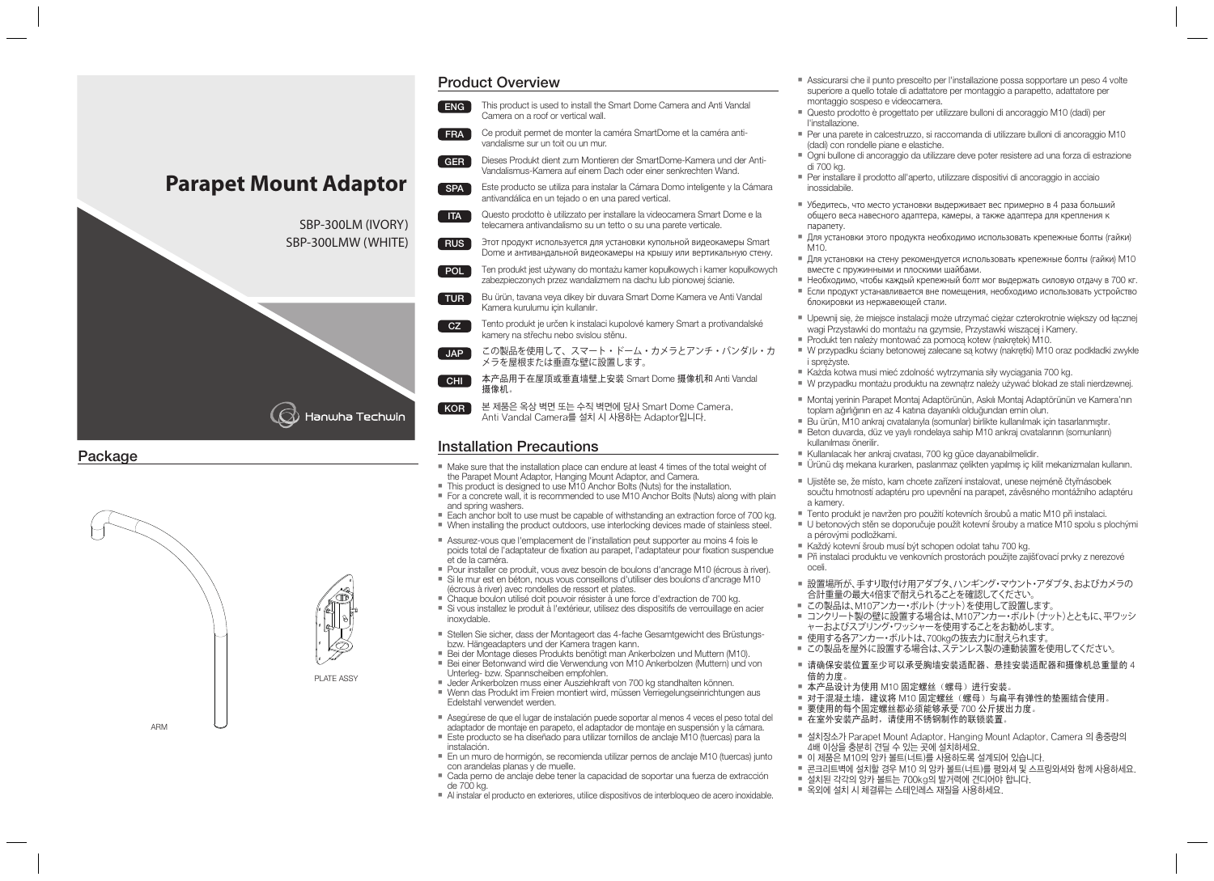# **Parapet Mount Adaptor** SBP-300LM (IVORY) SBP-300LMW (WHITE) $\bigcirc$ ) Hanwha Techwin

#### **Package**



## Product Overview

- ENG 1 This product is used to install the Smart Dome Camera and Anti Vandal Camera on a roof or vertical wall.
- Ce produit permet de monter la caméra SmartDome et la caméra antivandalisme sur un toit ou un mur. FRA
- Dieses Produkt dient zum Montieren der SmartDome-Kamera und der Anti-Vandalismus-Kamera auf einem Dach oder einer senkrechten Wand. GER<sup>1</sup>
- Este producto se utiliza para instalar la Cámara Domo inteligente y la Cámara antivandálica en un tejado o en una pared vertical. SPA<sup></sub></sup>
- Questo prodotto è utilizzato per installare la videocamera Smart Dome e la telecamera antivandalismo su un tetto o su una parete verticale.  $ITA$
- Этот продукт используется для установки купольной видеокамеры Smart Dome и антивандальной видеокамеры на крышу или вертикальную стену. **RUS**
- Ten produkt jest używany do montażu kamer kopułkowych i kamer kopułkowych zabezpieczonych przez wandalizmem na dachu lub pionowej ścianie. POL
- Bu ürün, tavana veya dikey bir duvara Smart Dome Kamera ve Anti Vandal Kamera kurulumu için kullanılır. TUR
- Tento produkt je určen k instalaci kupolové kamery Smart a protivandalské kamery na střechu nebo svislou stěnu.  $CZ$
- この製品を使用して、スマート・ドーム・カメラとアンチ・バンダル・カ メラを屋根または垂直な壁に設置します。  $\overline{\phantom{a}}$ . JAP
- 本产品用于在屋顶或垂直墙壁上安装 Smart Dome 摄像机和 Anti Vandal 摄像机。 ์ CHI ั
- 본 제품은 옥상 벽면 또는 수직 벽면에 당사 Smart Dome Camera, Anti Vandal Camera를 설치 시 사용하는 Adaptor입니다. KOR<sup>1</sup>

#### Installation Precautions

- Make sure that the installation place can endure at least 4 times of the total weight of the Parapet Mount Adaptor, Hanging Mount Adaptor, and Camera.
- This product is designed to use M10 Anchor Bolts (Nuts) for the installation.
- For a concrete wall, it is recommended to use M10 Anchor Bolts (Nuts) along with plain and spring washers.
- Each anchor bolt to use must be capable of withstanding an extraction force of 700 kg.
- When installing the product outdoors, use interlocking devices made of stainless steel.
- Assurez-vous que l'emplacement de l'installation peut supporter au moins 4 fois le poids total de l'adaptateur de fixation au parapet, l'adaptateur pour fixation suspendue et de la caméra.
- Pour installer ce produit, vous avez besoin de boulons d'ancrage M10 (écrous à river). Si le mur est en béton, nous vous conseillons d'utiliser des boulons d'ancrage M10
- (écrous à river) avec rondelles de ressort et plates.
- Chaque boulon utilisé doit pouvoir résister à une force d'extraction de 700 kg. Si vous installez le produit à l'extérieur, utilisez des dispositifs de verrouillage en acier inoxydable.
- Stellen Sie sicher, dass der Montageort das 4-fache Gesamtgewicht des Brüstungs bzw. Hängeadapters und der Kamera tragen kann.
- Bei der Montage dieses Produkts benötigt man Ankerbolzen und Muttern (M10).
- Bei einer Betonwand wird die Verwendung von M10 Ankerbolzen (Muttern) und von Unterleg- bzw. Spannscheiben empfohlen.
- Jeder Ankerbolzen muss einer Ausziehkraft von 700 kg standhalten können. Wenn das Produkt im Freien montiert wird, müssen Verriegelungseinrichtungen aus Edelstahl verwendet werden.
- Asegúrese de que el lugar de instalación puede soportar al menos 4 veces el peso total del adaptador de montaje en parapeto, el adaptador de montaje en suspensión y la cámara.
- Este producto se ha diseñado para utilizar tornillos de anclaje M10 (tuercas) para la instalación.
- En un muro de hormigón, se recomienda utilizar pernos de anclaje M10 (tuercas) junto con arandelas planas y de muelle.
- Cada perno de anclaje debe tener la capacidad de soportar una fuerza de extracción de 700 kg.
- Al instalar el producto en exteriores, utilice dispositivos de interbloqueo de acero inoxidable.
- Assicurarsi che il punto prescelto per l'installazione possa sopportare un peso 4 volte superiore a quello totale di adattatore per montaggio a parapetto, adattatore per montaggio sospeso e videocamera.
- Questo prodotto è progettato per utilizzare bulloni di ancoraggio M10 (dadi) per l'installazione.
- Per una parete in calcestruzzo, si raccomanda di utilizzare bulloni di ancoraggio M10 (dadi) con rondelle piane e elastiche.
- Ogni bullone di ancoraggio da utilizzare deve poter resistere ad una forza di estrazione di 700 kg.
- Per installare il prodotto all'aperto, utilizzare dispositivi di ancoraggio in acciaio inossidabile.
- Убедитесь, что место установки выдерживает вес примерно в 4 раза больший общего веса навесного адаптера, камеры, а также адаптера для крепления к парапету.
- Для установки этого продукта необходимо использовать крепежные болты (гайки)  $M10$
- Для установки на стену рекомендуется использовать крепежные болты (гайки) M10 вместе с пружинными и плоскими шайбами.
- Необходимо, чтобы каждый крепежный болт мог выдержать силовую отдачу в 700 кг.
- Если продукт устанавливается вне помещения, необходимо использовать устройство блокировки из нержавеющей стали.
- Upewnij się, że miejsce instalacji może utrzymać ciężar czterokrotnie większy od łącznej wagi Przystawki do montażu na gzymsie, Przystawki wiszącej i Kamery.
- Produkt ten należy montować za pomocą kotew (nakrętek) M10.
- W przypadku ściany betonowej zalecane są kotwy (nakrętki) M10 oraz podkładki zwykłe i sprężyste.
- Każda kotwa musi mieć zdolność wytrzymania siły wyciągania 700 kg.
- W przypadku montażu produktu na zewnątrz należy używać blokad ze stali nierdzewnej.
- Montaj yerinin Parapet Montaj Adaptörünün, Askılı Montaj Adaptörünün ve Kamera'nın toplam ağırlığının en az 4 katına dayanıklı olduğundan emin olun.
- Bu ürün, M10 ankraj cıvatalarıyla (somunlar) birlikte kullanılmak için tasarlanmıştır.
- Beton duvarda, düz ve yaylı rondelaya sahip M10 ankraj cıvatalarının (somunların) kullanılması önerilir.
- Kullanılacak her ankraj cıvatası, 700 kg güce dayanabilmelidir.
- Ürünü dış mekana kurarken, paslanmaz çelikten yapılmış iç kilit mekanizmaları kullanın.
- Ujistěte se, že místo, kam chcete zařízení instalovat, unese nejméně čtyřnásobek součtu hmotností adaptéru pro upevnění na parapet, závěsného montážního adaptéru a kamery.
- Tento produkt je navržen pro použití kotevních šroubů a matic M10 při instalaci.
- U betonových stěn se doporučuje použít kotevní šrouby a matice M10 spolu s plochými a pérovými podložkami.
- Každý kotevní šroub musí být schopen odolat tahu 700 kg.
- Při instalaci produktu ve venkovních prostorách použijte zajišťovací prvky z nerezové oceli.
- 設置場所が、手すり取付け用アダプタ、ハンギング・マウント・アダプタ、およびカメラの 合計重量の最大4倍まで耐えられることを確認してください。
- この製品は、M10アンカー・ボルト(ナット)を使用して設置します。
- コンクリート製の壁に設置する場合は、M10アンカー・ボルト(ナット)とともに、平ワッシ ャーおよびスプリング・ワッシャーを使用することをお勧めします。
- 使用する各アンカー・ボルトは、700kgの抜去力に耐えられます。
- この製品を屋外に設置する場合は、ステンレス製の連動装置を使用してください。
- 请确保安装位置至少可以承受胸墙安装适配器、悬挂安装适配器和摄像机总重量的 4 倍的力度。
- 本产品设计为使用 M10 固定螺丝(螺母)进行安装。
- 对于混凝土墙,建议将 M10 固定螺丝(螺母)与扁平有弹性的垫圈结合使用。
- 要使用的每个固定螺丝都必须能够承受 700 公斤拔出力度。
- 在室外安装产品时,请使用不锈钢制作的联锁装置。
- 설치장소가 Parapet Mount Adaptor, Hanging Mount Adaptor, Camera 의 총중량의 4배 이상을 충분히 견딜 수 있는 곳에 설치하세요.
- 이 제품은 M10의 앙카 볼트(너트)를 사용하도록 설계되어 있습니다.
- 콘크리트벽에 설치할 경우 M10 의 앙카 볼트(너트)를 평와셔 및 스프링와셔와 함께 사용하세요.
- 설치된 각각의 앙카 볼트는 700kg의 발거력에 견디어야 합니다.
- 옥외에 설치 시 체결류는 스테인레스 재질을 사용하세요.